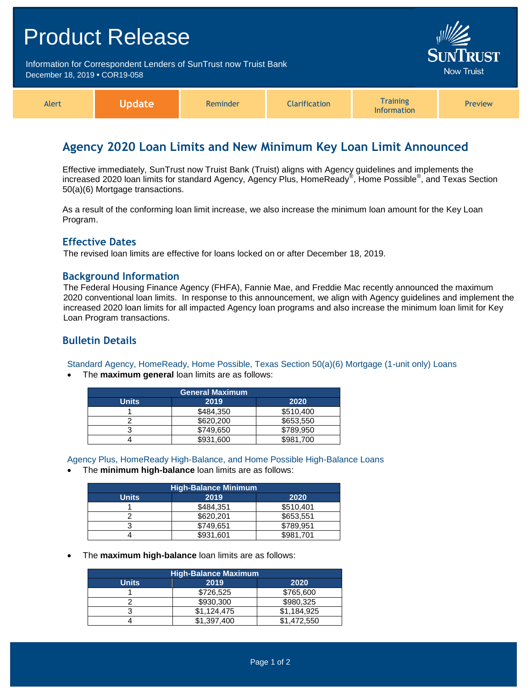|                                                                                                    | <b>Product Release</b> |          |                                      |                                       |         |
|----------------------------------------------------------------------------------------------------|------------------------|----------|--------------------------------------|---------------------------------------|---------|
| Information for Correspondent Lenders of SunTrust now Truist Bank<br>December 18, 2019 • COR19-058 |                        |          | <b>SUNTRUST</b><br><b>Now Truist</b> |                                       |         |
| Alert                                                                                              | <b>Update</b>          | Reminder | <b>Clarification</b>                 | <b>Training</b><br><b>Information</b> | Preview |

# **Agency 2020 Loan Limits and New Minimum Key Loan Limit Announced**

Effective immediately, SunTrust now Truist Bank (Truist) aligns with Agency guidelines and implements the increased 2020 loan limits for standard Agency, Agency Plus, HomeReady® , Home Possible® , and Texas Section 50(a)(6) Mortgage transactions.

As a result of the conforming loan limit increase, we also increase the minimum loan amount for the Key Loan Program.

#### **Effective Dates**

The revised loan limits are effective for loans locked on or after December 18, 2019.

#### **Background Information**

The Federal Housing Finance Agency (FHFA), Fannie Mae, and Freddie Mac recently announced the maximum 2020 conventional loan limits. In response to this announcement, we align with Agency guidelines and implement the increased 2020 loan limits for all impacted Agency loan programs and also increase the minimum loan limit for Key Loan Program transactions.

### **Bulletin Details**

Standard Agency, HomeReady, Home Possible, Texas Section 50(a)(6) Mortgage (1-unit only) Loans

The **maximum general** loan limits are as follows:

| <b>General Maximum</b> |           |           |  |  |
|------------------------|-----------|-----------|--|--|
| <b>Units</b>           | 2019      | 2020      |  |  |
|                        | \$484,350 | \$510,400 |  |  |
|                        | \$620,200 | \$653,550 |  |  |
|                        | \$749,650 | \$789,950 |  |  |
|                        | \$931.600 | \$981.700 |  |  |

Agency Plus, HomeReady High-Balance, and Home Possible High-Balance Loans

The **minimum high-balance** loan limits are as follows:

| <b>High-Balance Minimum</b> |           |           |  |  |  |
|-----------------------------|-----------|-----------|--|--|--|
| <b>Units</b>                | 2019      | 2020      |  |  |  |
|                             | \$484.351 | \$510.401 |  |  |  |
|                             | \$620,201 | \$653,551 |  |  |  |
|                             | \$749.651 | \$789,951 |  |  |  |
|                             | \$931,601 | \$981,701 |  |  |  |

The **maximum high-balance** loan limits are as follows:

| <b>High-Balance Maximum</b> |             |             |  |  |  |
|-----------------------------|-------------|-------------|--|--|--|
| <b>Units</b>                | 2019        | 2020        |  |  |  |
|                             | \$726,525   | \$765,600   |  |  |  |
|                             | \$930,300   | \$980.325   |  |  |  |
|                             | \$1,124,475 | \$1.184.925 |  |  |  |
|                             | \$1,397,400 | \$1,472,550 |  |  |  |